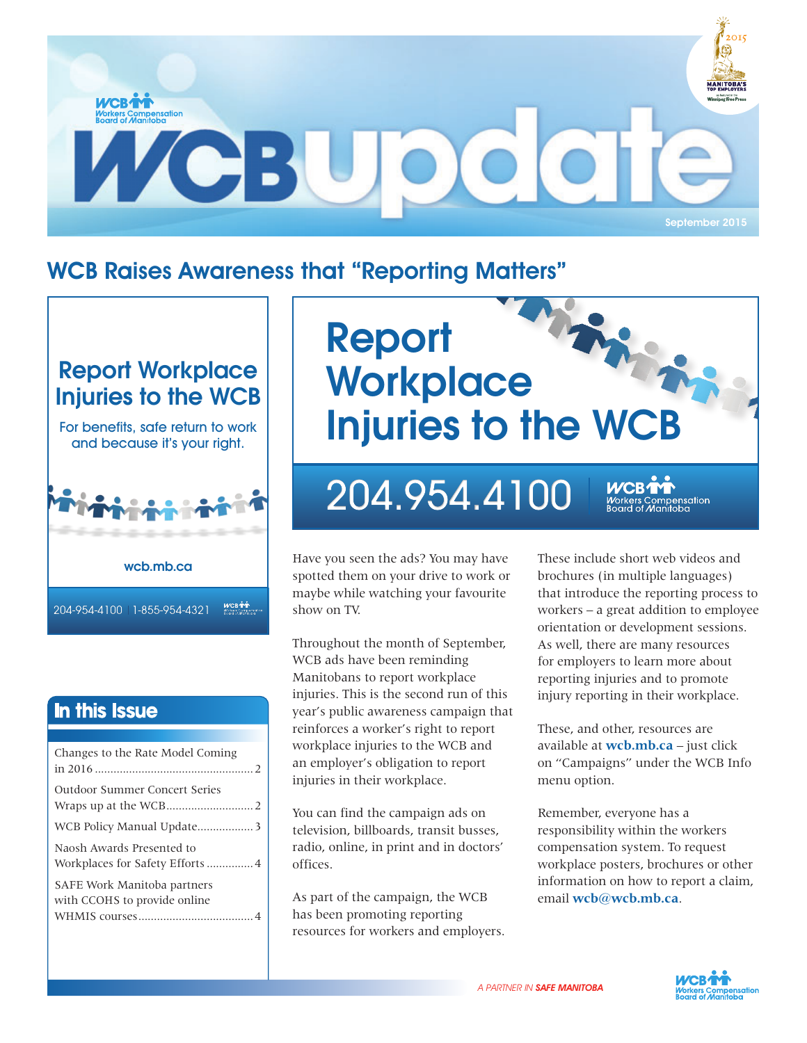

# WCB Raises Awareness that "Reporting Matters"

### Report Workplace Injuries to the WCB

For benefits, safe return to work and because it's your right.



In this Issue

| Changes to the Rate Model Coming                            |  |
|-------------------------------------------------------------|--|
| Outdoor Summer Concert Series                               |  |
|                                                             |  |
| Naosh Awards Presented to                                   |  |
| SAFE Work Manitoba partners<br>with CCOHS to provide online |  |



# 204.954.4100

**wcb.mb.ca** Have you seen the ads? You may have spotted them on your drive to work or maybe while watching your favourite show on TV.

> Throughout the month of September, WCB ads have been reminding Manitobans to report workplace injuries. This is the second run of this year's public awareness campaign that reinforces a worker's right to report workplace injuries to the WCB and an employer's obligation to report injuries in their workplace.

You can find the campaign ads on television, billboards, transit busses, radio, online, in print and in doctors' offices.

As part of the campaign, the WCB has been promoting reporting resources for workers and employers. These include short web videos and brochures (in multiple languages) that introduce the reporting process to workers – a great addition to employee orientation or development sessions. As well, there are many resources for employers to learn more about reporting injuries and to promote injury reporting in their workplace.

ensation

These, and other, resources are available at **wcb.mb.ca** – just click on "Campaigns" under the WCB Info menu option.

Remember, everyone has a responsibility within the workers compensation system. To request workplace posters, brochures or other information on how to report a claim, email **wcb@wcb.mb.ca**.

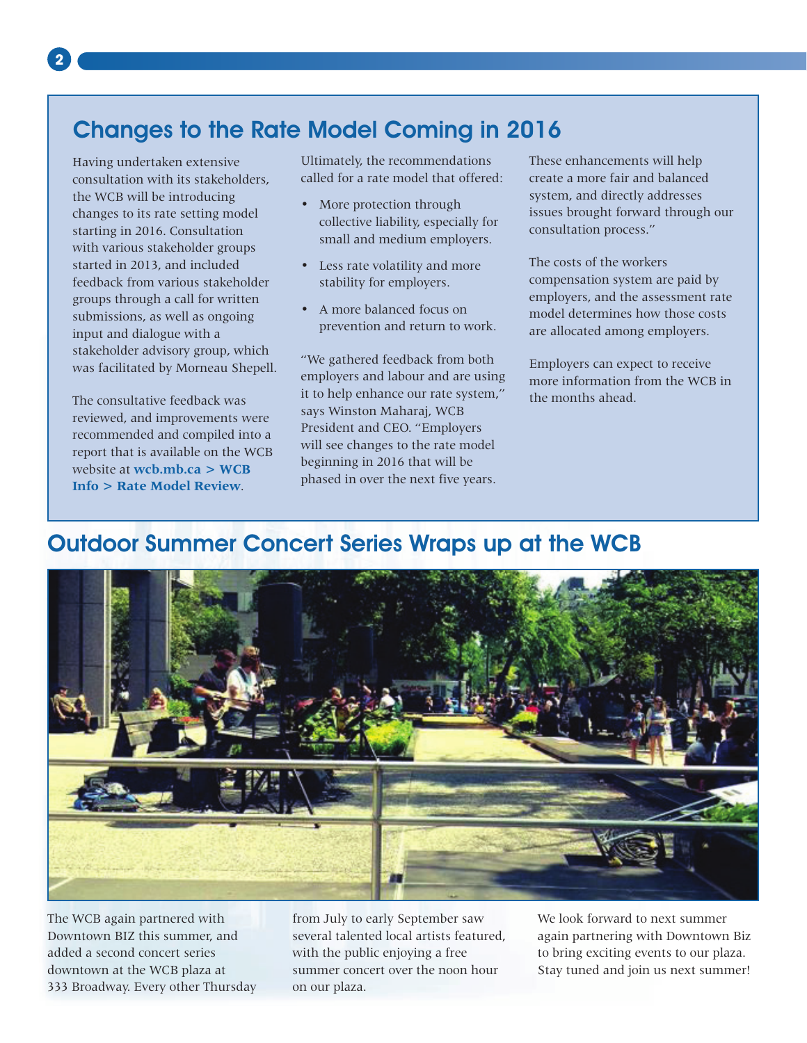# Changes to the Rate Model Coming in 2016

Having undertaken extensive consultation with its stakeholders, the WCB will be introducing changes to its rate setting model starting in 2016. Consultation with various stakeholder groups started in 2013, and included feedback from various stakeholder groups through a call for written submissions, as well as ongoing input and dialogue with a stakeholder advisory group, which was facilitated by Morneau Shepell.

The consultative feedback was reviewed, and improvements were recommended and compiled into a report that is available on the WCB website at **wcb.mb.ca > WCB Info > Rate Model Review**.

Ultimately, the recommendations called for a rate model that offered:

- More protection through collective liability, especially for small and medium employers.
- Less rate volatility and more stability for employers.
- A more balanced focus on prevention and return to work.

"We gathered feedback from both employers and labour and are using it to help enhance our rate system," says Winston Maharaj, WCB President and CEO. "Employers will see changes to the rate model beginning in 2016 that will be phased in over the next five years.

These enhancements will help create a more fair and balanced system, and directly addresses issues brought forward through our consultation process."

The costs of the workers compensation system are paid by employers, and the assessment rate model determines how those costs are allocated among employers.

Employers can expect to receive more information from the WCB in the months ahead.

## Outdoor Summer Concert Series Wraps up at the WCB



The WCB again partnered with Downtown BIZ this summer, and added a second concert series downtown at the WCB plaza at 333 Broadway. Every other Thursday

from July to early September saw several talented local artists featured, with the public enjoying a free summer concert over the noon hour on our plaza.

We look forward to next summer again partnering with Downtown Biz to bring exciting events to our plaza. Stay tuned and join us next summer!

**2**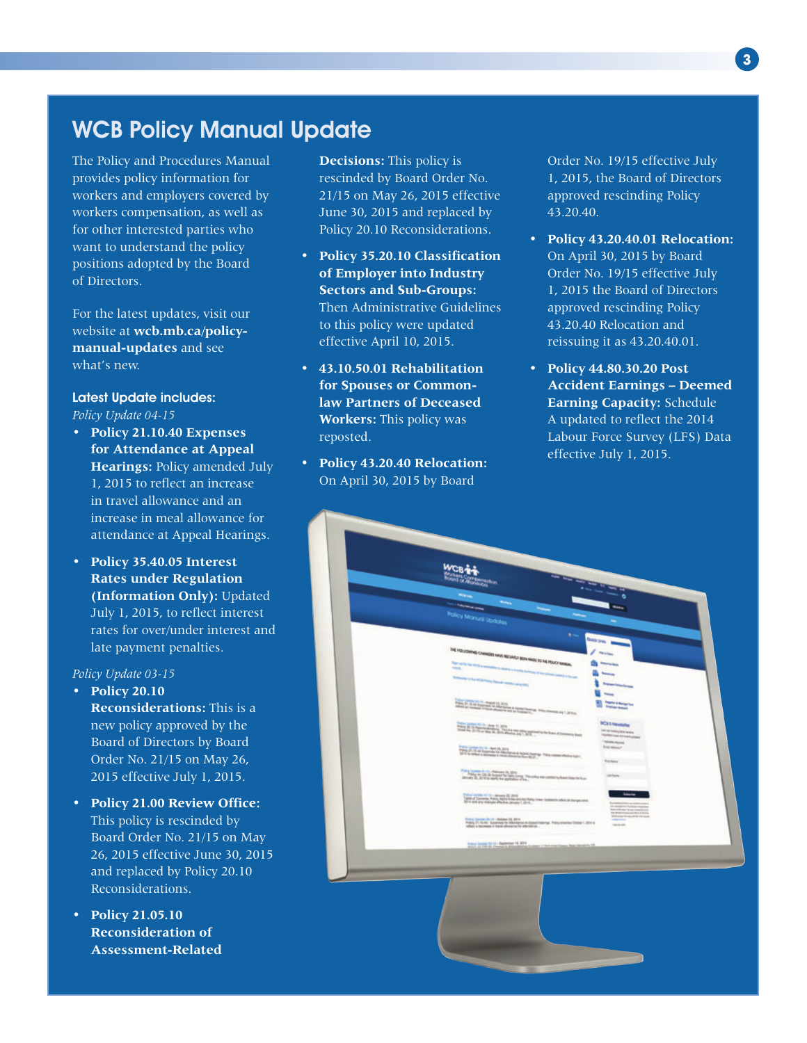## WCB Policy Manual Update

The Policy and Procedures Manual provides policy information for workers and employers covered by workers compensation, as well as for other interested parties who want to understand the policy positions adopted by the Board of Directors.

For the latest updates, visit our website at **wcb.mb.ca/policymanual-updates** and see what's new.

Latest Update includes: *Policy Update 04-15*

- **Policy 21.10.40 Expenses for Attendance at Appeal Hearings:** Policy amended July 1, 2015 to reflect an increase in travel allowance and an increase in meal allowance for attendance at Appeal Hearings.
- **Policy 35.40.05 Interest Rates under Regulation (Information Only):** Updated July 1, 2015, to reflect interest rates for over/under interest and late payment penalties.

#### *Policy Update 03-15*

- **Policy 20.10 Reconsiderations:** This is a new policy approved by the Board of Directors by Board Order No. 21/15 on May 26, 2015 effective July 1, 2015.
- **Policy 21.00 Review Office:** This policy is rescinded by Board Order No. 21/15 on May 26, 2015 effective June 30, 2015 and replaced by Policy 20.10 Reconsiderations.
- **Policy 21.05.10 Reconsideration of Assessment-Related**

**Decisions:** This policy is rescinded by Board Order No. 21/15 on May 26, 2015 effective June 30, 2015 and replaced by Policy 20.10 Reconsiderations.

- **Policy 35.20.10 Classification of Employer into Industry Sectors and Sub-Groups:** Then Administrative Guidelines to this policy were updated effective April 10, 2015.
- **43.10.50.01 Rehabilitation for Spouses or Commonlaw Partners of Deceased Workers:** This policy was reposted.
- **Policy 43.20.40 Relocation:** On April 30, 2015 by Board

Order No. 19/15 effective July 1, 2015, the Board of Directors approved rescinding Policy 43.20.40.

- **Policy 43.20.40.01 Relocation:** On April 30, 2015 by Board Order No. 19/15 effective July 1, 2015 the Board of Directors approved rescinding Policy 43.20.40 Relocation and reissuing it as 43.20.40.01.
- **Policy 44.80.30.20 Post Accident Earnings – Deemed Earning Capacity:** Schedule A updated to reflect the 2014 Labour Force Survey (LFS) Data effective July 1, 2015.